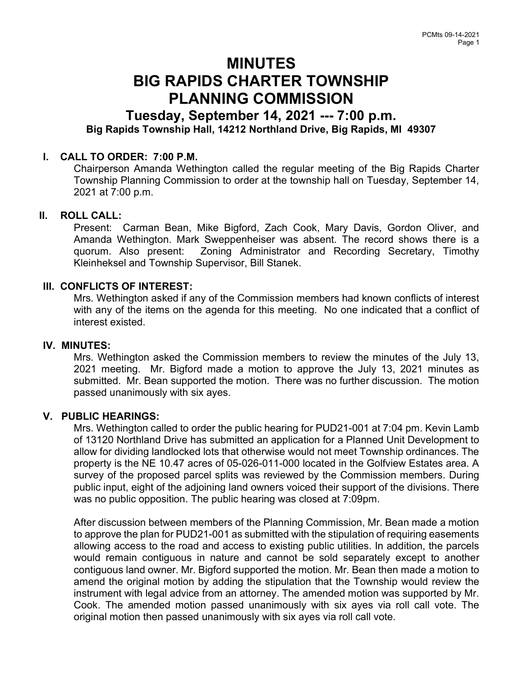# MINUTES BIG RAPIDS CHARTER TOWNSHIP PLANNING COMMISSION

## Tuesday, September 14, 2021 --- 7:00 p.m. Big Rapids Township Hall, 14212 Northland Drive, Big Rapids, MI 49307

## I. CALL TO ORDER: 7:00 P.M.

Chairperson Amanda Wethington called the regular meeting of the Big Rapids Charter Township Planning Commission to order at the township hall on Tuesday, September 14, 2021 at 7:00 p.m.

## II. ROLL CALL:

Present: Carman Bean, Mike Bigford, Zach Cook, Mary Davis, Gordon Oliver, and Amanda Wethington. Mark Sweppenheiser was absent. The record shows there is a quorum. Also present: Zoning Administrator and Recording Secretary, Timothy Kleinheksel and Township Supervisor, Bill Stanek.

#### III. CONFLICTS OF INTEREST:

Mrs. Wethington asked if any of the Commission members had known conflicts of interest with any of the items on the agenda for this meeting. No one indicated that a conflict of interest existed.

#### IV. MINUTES:

Mrs. Wethington asked the Commission members to review the minutes of the July 13, 2021 meeting. Mr. Bigford made a motion to approve the July 13, 2021 minutes as submitted. Mr. Bean supported the motion. There was no further discussion. The motion passed unanimously with six ayes.

## V. PUBLIC HEARINGS:

Mrs. Wethington called to order the public hearing for PUD21-001 at 7:04 pm. Kevin Lamb of 13120 Northland Drive has submitted an application for a Planned Unit Development to allow for dividing landlocked lots that otherwise would not meet Township ordinances. The property is the NE 10.47 acres of 05-026-011-000 located in the Golfview Estates area. A survey of the proposed parcel splits was reviewed by the Commission members. During public input, eight of the adjoining land owners voiced their support of the divisions. There was no public opposition. The public hearing was closed at 7:09pm.

After discussion between members of the Planning Commission, Mr. Bean made a motion to approve the plan for PUD21-001 as submitted with the stipulation of requiring easements allowing access to the road and access to existing public utilities. In addition, the parcels would remain contiguous in nature and cannot be sold separately except to another contiguous land owner. Mr. Bigford supported the motion. Mr. Bean then made a motion to amend the original motion by adding the stipulation that the Township would review the instrument with legal advice from an attorney. The amended motion was supported by Mr. Cook. The amended motion passed unanimously with six ayes via roll call vote. The original motion then passed unanimously with six ayes via roll call vote.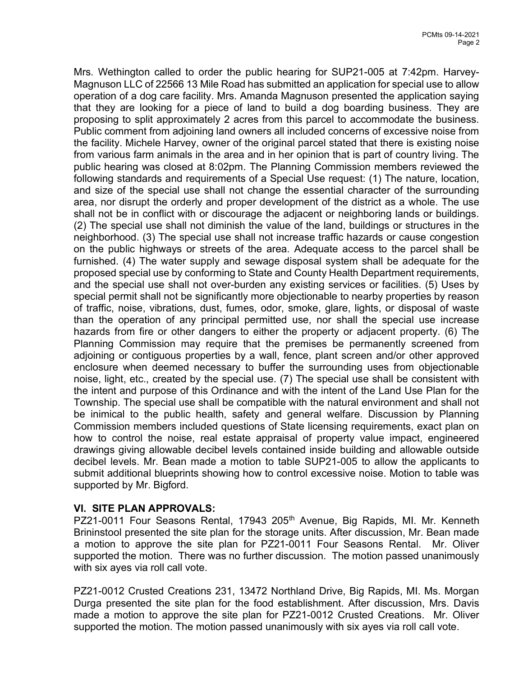Mrs. Wethington called to order the public hearing for SUP21-005 at 7:42pm. Harvey-Magnuson LLC of 22566 13 Mile Road has submitted an application for special use to allow operation of a dog care facility. Mrs. Amanda Magnuson presented the application saying that they are looking for a piece of land to build a dog boarding business. They are proposing to split approximately 2 acres from this parcel to accommodate the business. Public comment from adjoining land owners all included concerns of excessive noise from the facility. Michele Harvey, owner of the original parcel stated that there is existing noise from various farm animals in the area and in her opinion that is part of country living. The public hearing was closed at 8:02pm. The Planning Commission members reviewed the following standards and requirements of a Special Use request: (1) The nature, location, and size of the special use shall not change the essential character of the surrounding area, nor disrupt the orderly and proper development of the district as a whole. The use shall not be in conflict with or discourage the adjacent or neighboring lands or buildings. (2) The special use shall not diminish the value of the land, buildings or structures in the neighborhood. (3) The special use shall not increase traffic hazards or cause congestion on the public highways or streets of the area. Adequate access to the parcel shall be furnished. (4) The water supply and sewage disposal system shall be adequate for the proposed special use by conforming to State and County Health Department requirements, and the special use shall not over-burden any existing services or facilities. (5) Uses by special permit shall not be significantly more objectionable to nearby properties by reason of traffic, noise, vibrations, dust, fumes, odor, smoke, glare, lights, or disposal of waste than the operation of any principal permitted use, nor shall the special use increase hazards from fire or other dangers to either the property or adjacent property. (6) The Planning Commission may require that the premises be permanently screened from adjoining or contiguous properties by a wall, fence, plant screen and/or other approved enclosure when deemed necessary to buffer the surrounding uses from objectionable noise, light, etc., created by the special use. (7) The special use shall be consistent with the intent and purpose of this Ordinance and with the intent of the Land Use Plan for the Township. The special use shall be compatible with the natural environment and shall not be inimical to the public health, safety and general welfare. Discussion by Planning Commission members included questions of State licensing requirements, exact plan on how to control the noise, real estate appraisal of property value impact, engineered drawings giving allowable decibel levels contained inside building and allowable outside decibel levels. Mr. Bean made a motion to table SUP21-005 to allow the applicants to submit additional blueprints showing how to control excessive noise. Motion to table was supported by Mr. Bigford.

## VI. SITE PLAN APPROVALS:

PZ21-0011 Four Seasons Rental, 17943 205<sup>th</sup> Avenue, Big Rapids, MI. Mr. Kenneth Brininstool presented the site plan for the storage units. After discussion, Mr. Bean made a motion to approve the site plan for PZ21-0011 Four Seasons Rental. Mr. Oliver supported the motion. There was no further discussion. The motion passed unanimously with six ayes via roll call vote.

PZ21-0012 Crusted Creations 231, 13472 Northland Drive, Big Rapids, MI. Ms. Morgan Durga presented the site plan for the food establishment. After discussion, Mrs. Davis made a motion to approve the site plan for PZ21-0012 Crusted Creations. Mr. Oliver supported the motion. The motion passed unanimously with six ayes via roll call vote.